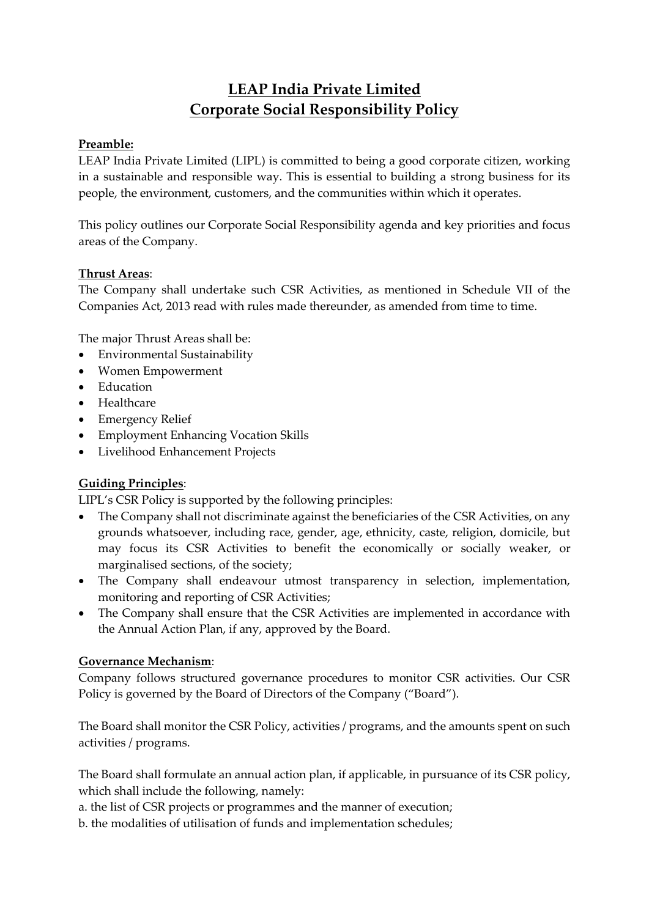# **LEAP India Private Limited Corporate Social Responsibility Policy**

## **Preamble:**

LEAP India Private Limited (LIPL) is committed to being a good corporate citizen, working in a sustainable and responsible way. This is essential to building a strong business for its people, the environment, customers, and the communities within which it operates.

This policy outlines our Corporate Social Responsibility agenda and key priorities and focus areas of the Company.

### **Thrust Areas**:

The Company shall undertake such CSR Activities, as mentioned in Schedule VII of the Companies Act, 2013 read with rules made thereunder, as amended from time to time.

The major Thrust Areas shall be:

- Environmental Sustainability
- Women Empowerment
- Education
- Healthcare
- Emergency Relief
- Employment Enhancing Vocation Skills
- Livelihood Enhancement Projects

## **Guiding Principles**:

LIPL's CSR Policy is supported by the following principles:

- The Company shall not discriminate against the beneficiaries of the CSR Activities, on any grounds whatsoever, including race, gender, age, ethnicity, caste, religion, domicile, but may focus its CSR Activities to benefit the economically or socially weaker, or marginalised sections, of the society;
- The Company shall endeavour utmost transparency in selection, implementation, monitoring and reporting of CSR Activities;
- The Company shall ensure that the CSR Activities are implemented in accordance with the Annual Action Plan, if any, approved by the Board.

### **Governance Mechanism**:

Company follows structured governance procedures to monitor CSR activities. Our CSR Policy is governed by the Board of Directors of the Company ("Board").

The Board shall monitor the CSR Policy, activities / programs, and the amounts spent on such activities / programs.

The Board shall formulate an annual action plan, if applicable, in pursuance of its CSR policy, which shall include the following, namely:

a. the list of CSR projects or programmes and the manner of execution;

b. the modalities of utilisation of funds and implementation schedules;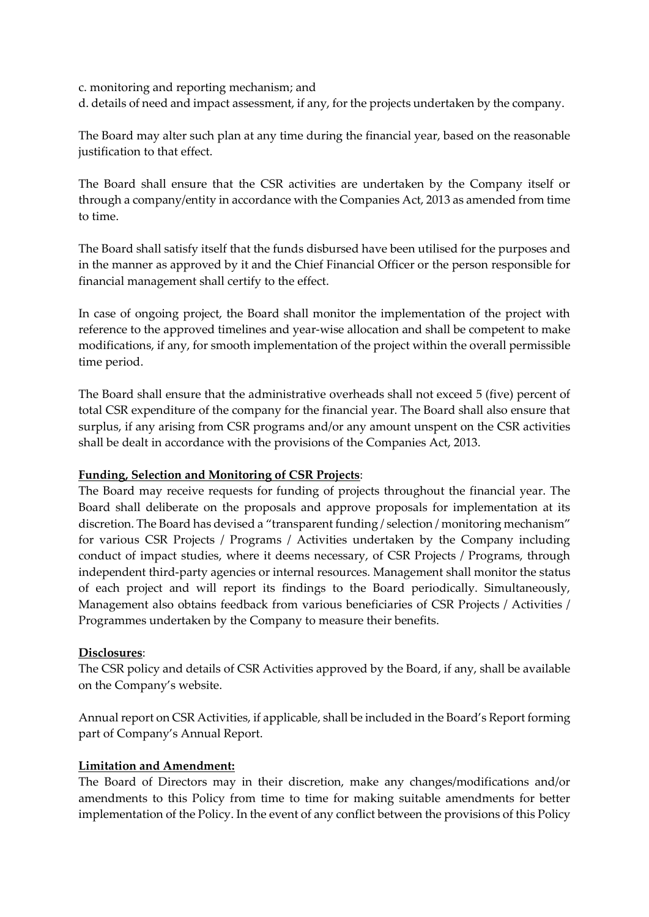c. monitoring and reporting mechanism; and

d. details of need and impact assessment, if any, for the projects undertaken by the company.

The Board may alter such plan at any time during the financial year, based on the reasonable justification to that effect.

The Board shall ensure that the CSR activities are undertaken by the Company itself or through a company/entity in accordance with the Companies Act, 2013 as amended from time to time.

The Board shall satisfy itself that the funds disbursed have been utilised for the purposes and in the manner as approved by it and the Chief Financial Officer or the person responsible for financial management shall certify to the effect.

In case of ongoing project, the Board shall monitor the implementation of the project with reference to the approved timelines and year‐wise allocation and shall be competent to make modifications, if any, for smooth implementation of the project within the overall permissible time period.

The Board shall ensure that the administrative overheads shall not exceed 5 (five) percent of total CSR expenditure of the company for the financial year. The Board shall also ensure that surplus, if any arising from CSR programs and/or any amount unspent on the CSR activities shall be dealt in accordance with the provisions of the Companies Act, 2013.

#### **Funding, Selection and Monitoring of CSR Projects**:

The Board may receive requests for funding of projects throughout the financial year. The Board shall deliberate on the proposals and approve proposals for implementation at its discretion. The Board has devised a "transparent funding / selection / monitoring mechanism" for various CSR Projects / Programs / Activities undertaken by the Company including conduct of impact studies, where it deems necessary, of CSR Projects / Programs, through independent third-party agencies or internal resources. Management shall monitor the status of each project and will report its findings to the Board periodically. Simultaneously, Management also obtains feedback from various beneficiaries of CSR Projects / Activities / Programmes undertaken by the Company to measure their benefits.

### **Disclosures**:

The CSR policy and details of CSR Activities approved by the Board, if any, shall be available on the Company's website.

Annual report on CSR Activities, if applicable, shall be included in the Board's Report forming part of Company's Annual Report.

#### **Limitation and Amendment:**

The Board of Directors may in their discretion, make any changes/modifications and/or amendments to this Policy from time to time for making suitable amendments for better implementation of the Policy. In the event of any conflict between the provisions of this Policy